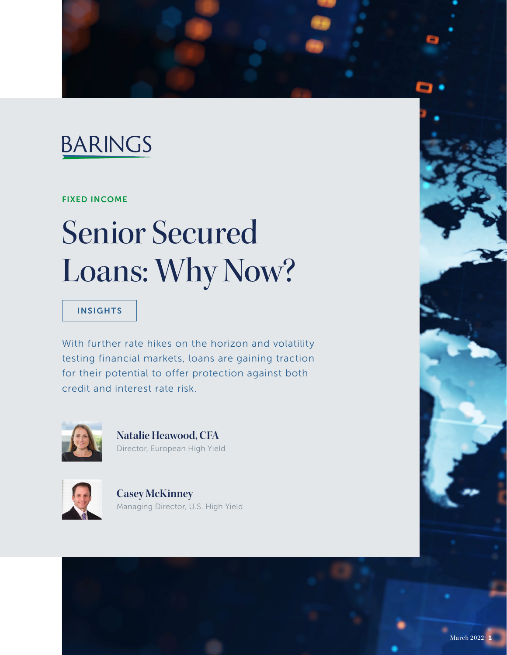

# FIXED INCOME

# Senior Secured Loans: Why Now?

# INSIGHTS

With further rate hikes on the horizon and volatility testing financial markets, loans are gaining traction for their potential to offer protection against both credit and interest rate risk.



**Natalie Heawood, CFA** Director, European High Yield



**Casey McKinney**  Managing Director, U.S. High Yield

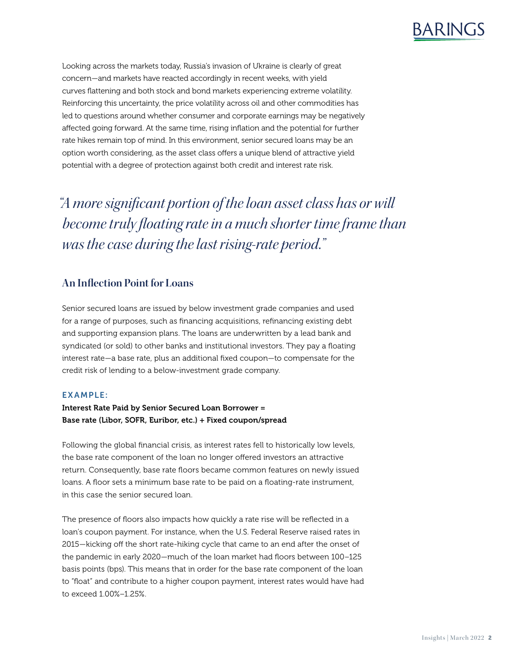

Looking across the markets today, Russia's invasion of Ukraine is clearly of great concern—and markets have reacted accordingly in recent weeks, with yield curves flattening and both stock and bond markets experiencing extreme volatility. Reinforcing this uncertainty, the price volatility across oil and other commodities has led to questions around whether consumer and corporate earnings may be negatively affected going forward. At the same time, rising inflation and the potential for further rate hikes remain top of mind. In this environment, senior secured loans may be an option worth considering, as the asset class offers a unique blend of attractive yield potential with a degree of protection against both credit and interest rate risk.

*"A more significant portion of the loan asset class has or will become truly floating rate in a much shorter time frame than was the case during the last rising-rate period."* 

# **An Inflection Point for Loans**

Senior secured loans are issued by below investment grade companies and used for a range of purposes, such as financing acquisitions, refinancing existing debt and supporting expansion plans. The loans are underwritten by a lead bank and syndicated (or sold) to other banks and institutional investors. They pay a floating interest rate—a base rate, plus an additional fixed coupon—to compensate for the credit risk of lending to a below-investment grade company.

## EXAMPLE:

## Interest Rate Paid by Senior Secured Loan Borrower = Base rate (Libor, SOFR, Euribor, etc.) + Fixed coupon/spread

Following the global financial crisis, as interest rates fell to historically low levels, the base rate component of the loan no longer offered investors an attractive return. Consequently, base rate floors became common features on newly issued loans. A floor sets a minimum base rate to be paid on a floating-rate instrument, in this case the senior secured loan.

The presence of floors also impacts how quickly a rate rise will be reflected in a loan's coupon payment. For instance, when the U.S. Federal Reserve raised rates in 2015—kicking off the short rate-hiking cycle that came to an end after the onset of the pandemic in early 2020—much of the loan market had floors between 100–125 basis points (bps). This means that in order for the base rate component of the loan to "float" and contribute to a higher coupon payment, interest rates would have had to exceed 1.00%–1.25%.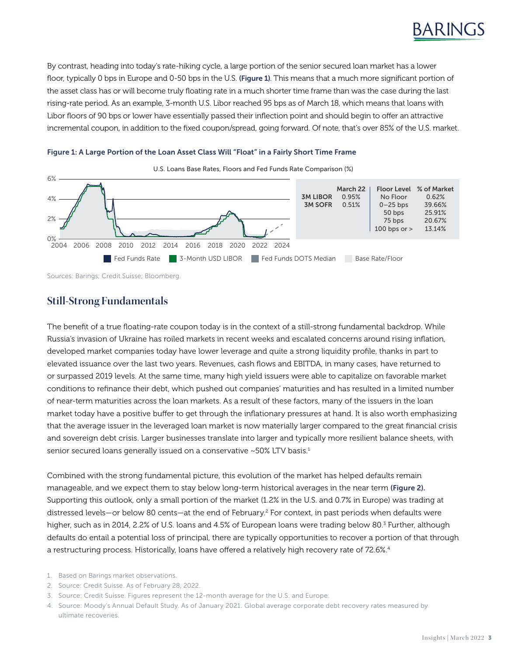

By contrast, heading into today's rate-hiking cycle, a large portion of the senior secured loan market has a lower floor, typically 0 bps in Europe and 0-50 bps in the U.S. (Figure 1). This means that a much more significant portion of the asset class has or will become truly floating rate in a much shorter time frame than was the case during the last rising-rate period. As an example, 3-month U.S. Libor reached 95 bps as of March 18, which means that loans with Libor floors of 90 bps or lower have essentially passed their inflection point and should begin to offer an attractive incremental coupon, in addition to the fixed coupon/spread, going forward. Of note, that's over 85% of the U.S. market.





U.S. Loans Base Rates, Floors and Fed Funds Rate Comparison (%)

Sources: Barings; Credit Suisse; Bloomberg.

# **Still-Strong Fundamentals**

The benefit of a true floating-rate coupon today is in the context of a still-strong fundamental backdrop. While Russia's invasion of Ukraine has roiled markets in recent weeks and escalated concerns around rising inflation, developed market companies today have lower leverage and quite a strong liquidity profile, thanks in part to elevated issuance over the last two years. Revenues, cash flows and EBITDA, in many cases, have returned to or surpassed 2019 levels. At the same time, many high yield issuers were able to capitalize on favorable market conditions to refinance their debt, which pushed out companies' maturities and has resulted in a limited number of near-term maturities across the loan markets. As a result of these factors, many of the issuers in the loan market today have a positive buffer to get through the inflationary pressures at hand. It is also worth emphasizing that the average issuer in the leveraged loan market is now materially larger compared to the great financial crisis and sovereign debt crisis. Larger businesses translate into larger and typically more resilient balance sheets, with senior secured loans generally issued on a conservative ~50% LTV basis.<sup>1</sup>

Combined with the strong fundamental picture, this evolution of the market has helped defaults remain manageable, and we expect them to stay below long-term historical averages in the near term (Figure 2). Supporting this outlook, only a small portion of the market (1.2% in the U.S. and 0.7% in Europe) was trading at distressed levels—or below 80 cents—at the end of February.2 For context, in past periods when defaults were higher, such as in 2014, 2.2% of U.S. loans and 4.5% of European loans were trading below 80.<sup>3</sup> Further, although defaults do entail a potential loss of principal, there are typically opportunities to recover a portion of that through a restructuring process. Historically, loans have offered a relatively high recovery rate of 72.6%.<sup>4</sup>

- 1. Based on Barings market observations.
- 2. Source: Credit Suisse. As of February 28, 2022.
- 3. Source: Credit Suisse. Figures represent the 12-month average for the U.S. and Europe.

<sup>4.</sup> Source: Moody's Annual Default Study. As of January 2021. Global average corporate debt recovery rates measured by ultimate recoveries.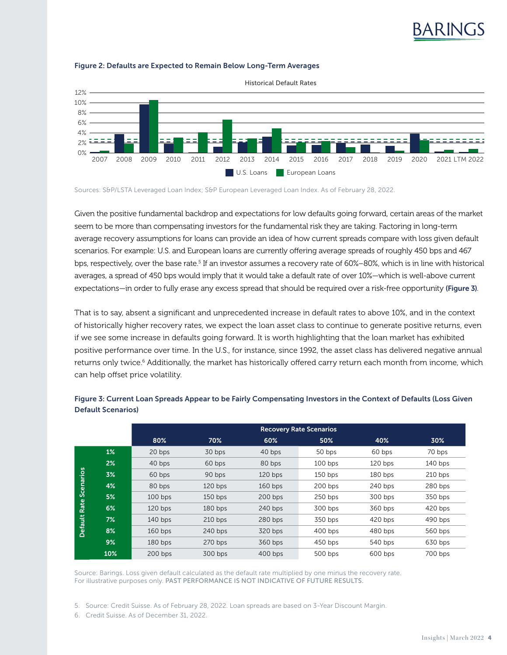

#### Figure 2: Defaults are Expected to Remain Below Long-Term Averages

Sources: S&P/LSTA Leveraged Loan Index; S&P European Leveraged Loan Index. As of February 28, 2022.

Given the positive fundamental backdrop and expectations for low defaults going forward, certain areas of the market seem to be more than compensating investors for the fundamental risk they are taking. Factoring in long-term average recovery assumptions for loans can provide an idea of how current spreads compare with loss given default scenarios. For example: U.S. and European loans are currently offering average spreads of roughly 450 bps and 467 bps, respectively, over the base rate.<sup>5</sup> If an investor assumes a recovery rate of 60%–80%, which is in line with historical averages, a spread of 450 bps would imply that it would take a default rate of over 10%—which is well-above current expectations—in order to fully erase any excess spread that should be required over a risk-free opportunity (Figure 3).

That is to say, absent a significant and unprecedented increase in default rates to above 10%, and in the context of historically higher recovery rates, we expect the loan asset class to continue to generate positive returns, even if we see some increase in defaults going forward. It is worth highlighting that the loan market has exhibited positive performance over time. In the U.S., for instance, since 1992, the asset class has delivered negative annual returns only twice.<sup>6</sup> Additionally, the market has historically offered carry return each month from income, which can help offset price volatility.

|                           |       | <b>Recovery Rate Scenarios</b> |           |           |           |           |           |
|---------------------------|-------|--------------------------------|-----------|-----------|-----------|-----------|-----------|
|                           |       | 80%                            | 70%       | 60%       | 50%       | 40%       | 30%       |
| Rate Scenarios<br>Default | $1\%$ | 20 bps                         | 30 bps    | 40 bps    | 50 bps    | 60 bps    | 70 bps    |
|                           | 2%    | 40 bps                         | 60 bps    | 80 bps    | $100$ bps | $120$ bps | $140$ bps |
|                           | 3%    | 60 bps                         | 90 bps    | $120$ bps | $150$ bps | 180 bps   | $210$ bps |
|                           | 4%    | 80 bps                         | $120$ bps | $160$ bps | 200 bps   | 240 bps   | 280 bps   |
|                           | 5%    | $100$ bps                      | $150$ bps | 200 bps   | $250$ bps | 300 bps   | 350 bps   |
|                           | 6%    | $120$ bps                      | $180$ bps | 240 bps   | 300 bps   | 360 bps   | 420 bps   |
|                           | 7%    | $140$ bps                      | $210$ bps | 280 bps   | 350 bps   | $420$ bps | 490 bps   |
|                           | 8%    | $160$ bps                      | 240 bps   | 320 bps   | $400$ bps | 480 bps   | 560 bps   |
|                           | 9%    | 180 bps                        | 270 bps   | 360 bps   | $450$ bps | 540 bps   | 630 bps   |
|                           | 10%   | 200 bps                        | 300 bps   | $400$ bps | 500 bps   | 600 bps   | 700 bps   |

## Figure 3: Current Loan Spreads Appear to be Fairly Compensating Investors in the Context of Defaults (Loss Given Default Scenarios)

Source: Barings. Loss given default calculated as the default rate multiplied by one minus the recovery rate. For illustrative purposes only. PAST PERFORMANCE IS NOT INDICATIVE OF FUTURE RESULTS.

5. Source: Credit Suisse. As of February 28, 2022. Loan spreads are based on 3-Year Discount Margin.

6. Credit Suisse. As of December 31, 2022.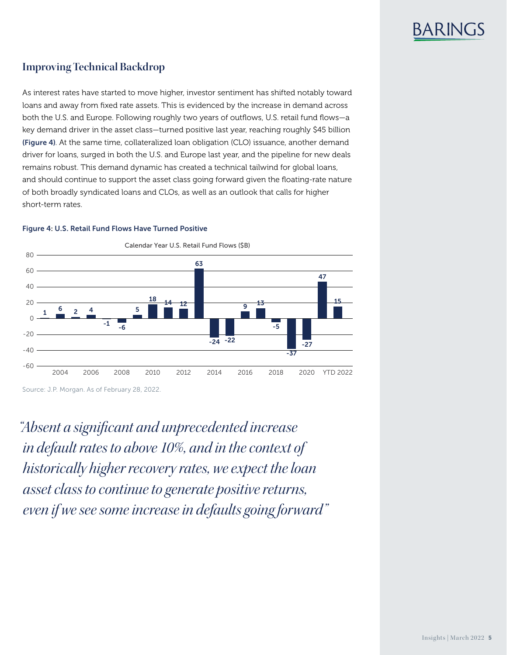

# **Improving Technical Backdrop**

As interest rates have started to move higher, investor sentiment has shifted notably toward loans and away from fixed rate assets. This is evidenced by the increase in demand across both the U.S. and Europe. Following roughly two years of outflows, U.S. retail fund flows—a key demand driver in the asset class—turned positive last year, reaching roughly \$45 billion (Figure 4). At the same time, collateralized loan obligation (CLO) issuance, another demand driver for loans, surged in both the U.S. and Europe last year, and the pipeline for new deals remains robust. This demand dynamic has created a technical tailwind for global loans, and should continue to support the asset class going forward given the floating-rate nature of both broadly syndicated loans and CLOs, as well as an outlook that calls for higher short-term rates.



#### Figure 4: U.S. Retail Fund Flows Have Turned Positive

Source: J.P. Morgan. As of February 28, 2022.

*"Absent a significant and unprecedented increase in default rates to above 10%, and in the context of historically higher recovery rates, we expect the loan asset class to continue to generate positive returns, even if we see some increase in defaults going forward"*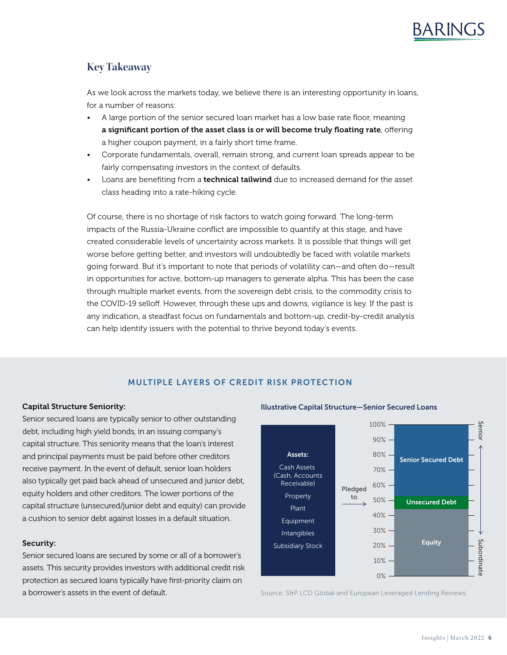# **Key Takeaway**

As we look across the markets today, we believe there is an interesting opportunity in loans, for a number of reasons:

- A large portion of the senior secured loan market has a low base rate floor, meaning a significant portion of the asset class is or will become truly floating rate, offering a higher coupon payment, in a fairly short time frame.
- Corporate fundamentals, overall, remain strong, and current loan spreads appear to be fairly compensating investors in the context of defaults.
- Loans are benefiting from a **technical tailwind** due to increased demand for the asset class heading into a rate-hiking cycle.

Of course, there is no shortage of risk factors to watch going forward. The long-term impacts of the Russia-Ukraine conflict are impossible to quantify at this stage, and have created considerable levels of uncertainty across markets. It is possible that things will get worse before getting better, and investors will undoubtedly be faced with volatile markets going forward. But it's important to note that periods of volatility can—and often do—result in opportunities for active, bottom-up managers to generate alpha. This has been the case through multiple market events, from the sovereign debt crisis, to the commodity crisis to the COVID-19 selloff. However, through these ups and downs, vigilance is key. If the past is any indication, a steadfast focus on fundamentals and bottom-up, credit-by-credit analysis can help identify issuers with the potential to thrive beyond today's events.

# MULTIPLE LAYERS OF CREDIT RISK PROTECTION

## Capital Structure Seniority:

Senior secured loans are typically senior to other outstanding debt, including high yield bonds, in an issuing company's capital structure. This seniority means that the loan's interest and principal payments must be paid before other creditors receive payment. In the event of default, senior loan holders also typically get paid back ahead of unsecured and junior debt, equity holders and other creditors. The lower portions of the capital structure (unsecured/junior debt and equity) can provide a cushion to senior debt against losses in a default situation.

#### Security:

Senior secured loans are secured by some or all of a borrower's assets. This security provides investors with additional credit risk protection as secured loans typically have first-priority claim on a borrower's assets in the event of default.

#### Illustrative Capital Structure—Senior Secured Loans



Source: S&P LCD Global and European Leveraged Lending Reviews.